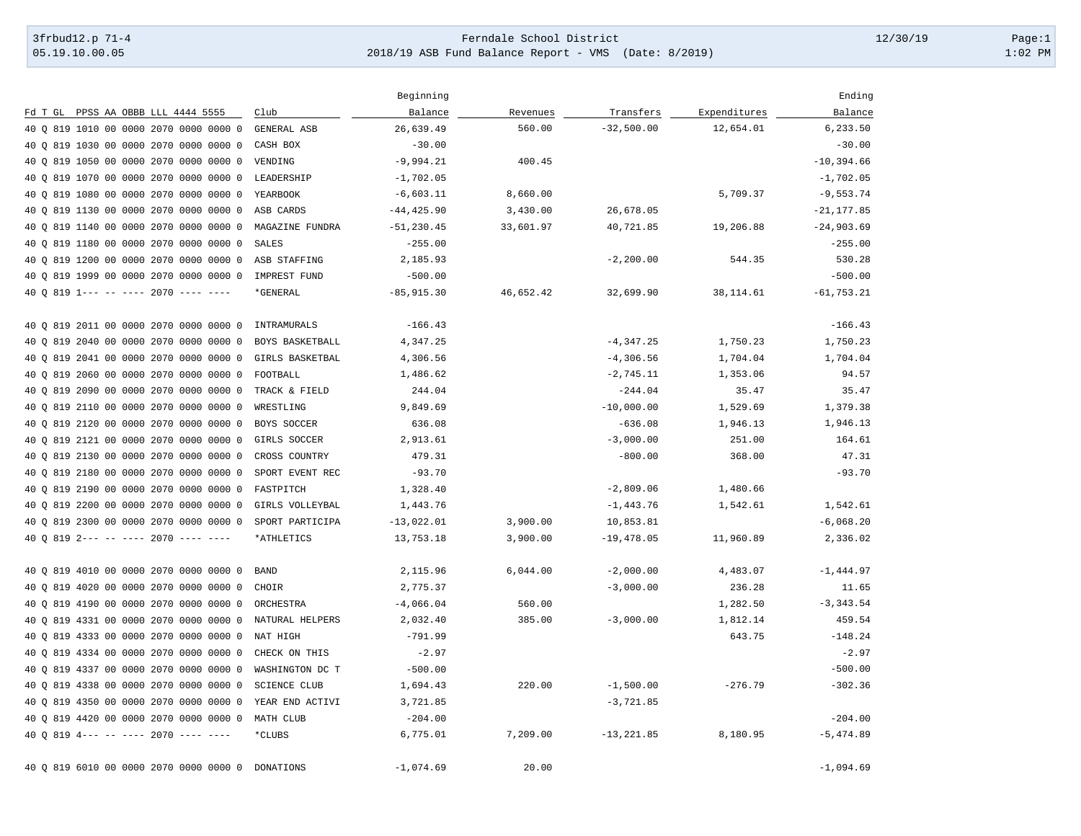## 3frbud12.p 71-4 Page:1 [05.19.10.00.05](https://05.19.10.00.05) 2018/19 ASB Fund Balance Report - VMS (Date: 8/2019) 1:02 PM

|                                           |                     | Beginning     |           |               |              | Ending        |
|-------------------------------------------|---------------------|---------------|-----------|---------------|--------------|---------------|
| Fd T GL PPSS AA OBBB LLL 4444 5555        | Club                | Balance       | Revenues  | Transfers     | Expenditures | Balance       |
| 40 0 819 1010 00 0000 2070 0000 0000 0    | GENERAL ASB         | 26,639.49     | 560.00    | $-32,500.00$  | 12,654.01    | 6,233.50      |
| 819 1030 00 0000 2070 0000 0000 0<br>40 O | CASH BOX            | $-30.00$      |           |               |              | $-30.00$      |
| 819 1050 00 0000 2070 0000 0000 0<br>40 O | VENDING             | $-9,994.21$   | 400.45    |               |              | $-10, 394.66$ |
| 40 0 819 1070 00 0000 2070 0000 0000 0    | LEADERSHIP          | $-1,702.05$   |           |               |              | $-1,702.05$   |
| 819 1080 00 0000 2070 0000 0000 0<br>40 O | YEARBOOK            | $-6,603.11$   | 8,660.00  |               | 5,709.37     | $-9,553.74$   |
| 40 0 819 1130 00 0000 2070 0000 0000 0    | ASB CARDS           | $-44, 425.90$ | 3,430.00  | 26,678.05     |              | $-21, 177.85$ |
| 819 1140 00 0000 2070 0000 0000 0<br>40 O | MAGAZINE FUNDRA     | $-51, 230.45$ | 33,601.97 | 40,721.85     | 19,206.88    | $-24,903.69$  |
| 819 1180 00 0000 2070 0000 0000 0<br>40 O | <b>SALES</b>        | $-255.00$     |           |               |              | $-255.00$     |
| 40 0 819 1200 00 0000 2070 0000 0000 0    | ASB STAFFING        | 2,185.93      |           | $-2, 200.00$  | 544.35       | 530.28        |
| 40 0 819 1999 00 0000 2070 0000 0000 0    | IMPREST FUND        | $-500.00$     |           |               |              | $-500.00$     |
| 40 Q 819 1--- -- ---- 2070 ---- ----      | *GENERAL            | $-85,915.30$  | 46,652.42 | 32,699.90     | 38, 114.61   | $-61, 753.21$ |
| 40 0 819 2011 00 0000 2070 0000 0000 0    | INTRAMURALS         | $-166.43$     |           |               |              | $-166.43$     |
| 40 0 819 2040 00 0000 2070 0000 0000 0    | BOYS BASKETBALL     | 4,347.25      |           | $-4, 347.25$  | 1,750.23     | 1,750.23      |
| 819 2041 00 0000 2070 0000 0000 0<br>40 O | GIRLS BASKETBAL     | 4,306.56      |           | $-4,306.56$   | 1,704.04     | 1,704.04      |
| 819 2060 00 0000 2070 0000 0000 0<br>40 O | FOOTBALL            | 1,486.62      |           | $-2,745.11$   | 1,353.06     | 94.57         |
| 819 2090 00 0000 2070 0000 0000 0<br>40 O | TRACK & FIELD       | 244.04        |           | $-244.04$     | 35.47        | 35.47         |
| 819 2110 00 0000 2070 0000 0000 0<br>40 Q | WRESTLING           | 9,849.69      |           | $-10,000.00$  | 1,529.69     | 1,379.38      |
| 40 Q 819 2120 00 0000 2070 0000 0000 0    | BOYS SOCCER         | 636.08        |           | $-636.08$     | 1,946.13     | 1,946.13      |
| 819 2121 00 0000 2070 0000 0000 0<br>40 O | GIRLS SOCCER        | 2,913.61      |           | $-3,000.00$   | 251.00       | 164.61        |
| 819 2130 00 0000 2070 0000 0000 0<br>40 O | CROSS COUNTRY       | 479.31        |           | $-800.00$     | 368.00       | 47.31         |
| 819 2180 00 0000 2070 0000 0000 0<br>40 O | SPORT EVENT REC     | $-93.70$      |           |               |              | $-93.70$      |
| 819 2190 00 0000 2070 0000 0000 0<br>40 O | FASTPITCH           | 1,328.40      |           | $-2,809.06$   | 1,480.66     |               |
| 40 Q 819 2200 00 0000 2070 0000 0000 0    | GIRLS VOLLEYBAL     | 1,443.76      |           | $-1,443.76$   | 1,542.61     | 1,542.61      |
| 40 0 819 2300 00 0000 2070 0000 0000 0    | SPORT PARTICIPA     | $-13,022.01$  | 3,900.00  | 10,853.81     |              | $-6,068.20$   |
| 40 0 819 2--- -- ---- 2070 ---- ----      | *ATHLETICS          | 13,753.18     | 3,900.00  | $-19,478.05$  | 11,960.89    | 2,336.02      |
| 40 0 819 4010 00 0000 2070 0000 0000 0    | <b>BAND</b>         | 2,115.96      | 6,044.00  | $-2,000.00$   | 4,483.07     | $-1, 444.97$  |
| 40 0 819 4020 00 0000 2070 0000 0000 0    | CHOIR               | 2,775.37      |           | $-3,000.00$   | 236.28       | 11.65         |
| 819 4190 00 0000 2070 0000 0000 0<br>40 O | ORCHESTRA           | $-4,066.04$   | 560.00    |               | 1,282.50     | $-3, 343.54$  |
| 819 4331 00 0000 2070 0000 0000 0<br>40 O | NATURAL HELPERS     | 2,032.40      | 385.00    | $-3,000.00$   | 1,812.14     | 459.54        |
| 40 0 819 4333 00 0000 2070 0000 0000 0    | NAT HIGH            | $-791.99$     |           |               | 643.75       | $-148.24$     |
| 819 4334 00 0000 2070 0000 0000 0<br>40 O | CHECK ON THIS       | $-2.97$       |           |               |              | $-2.97$       |
| 40 0 819 4337 00 0000 2070 0000 0000 0    | WASHINGTON DC T     | $-500.00$     |           |               |              | $-500.00$     |
| 40 0 819 4338 00 0000 2070 0000 0000 0    | <b>SCIENCE CLUB</b> | 1,694.43      | 220.00    | $-1,500.00$   | $-276.79$    | $-302.36$     |
| 40 0 819 4350 00 0000 2070 0000 0000 0    | YEAR END ACTIVI     | 3,721.85      |           | $-3,721.85$   |              |               |
| 40 0 819 4420 00 0000 2070 0000 0000 0    | MATH CLUB           | $-204.00$     |           |               |              | $-204.00$     |
| 40 Q 819 4--- -- ---- 2070 ---- ----      | *CLUBS              | 6,775.01      | 7,209.00  | $-13, 221.85$ | 8,180.95     | $-5, 474.89$  |
| 40 0 819 6010 00 0000 2070 0000 0000 0    | DONATIONS           | $-1,074.69$   | 20.00     |               |              | $-1,094.69$   |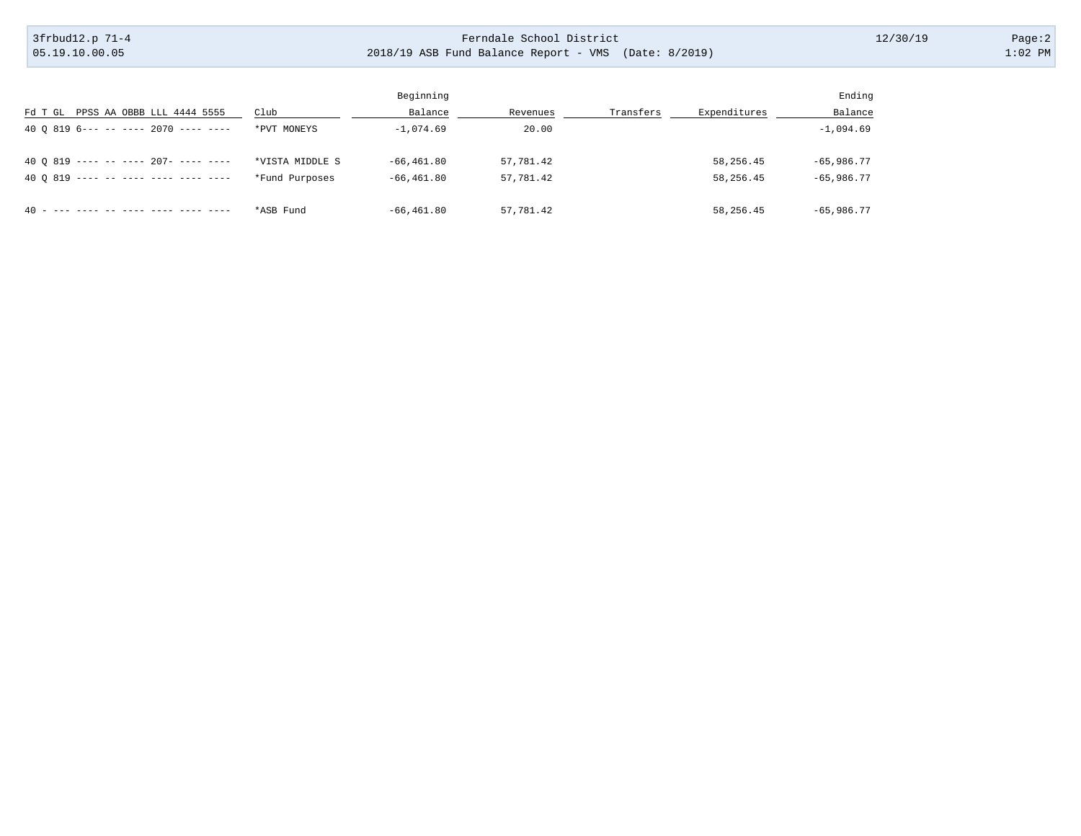## 3frbud12.p 71-4 Page:2 [05.19.10.00.05](https://05.19.10.00.05) 2018/19 ASB Fund Balance Report - VMS (Date: 8/2019) 1:02 PM

|                                            |                 | Beginning      |           |           |              | Ending       |
|--------------------------------------------|-----------------|----------------|-----------|-----------|--------------|--------------|
| Fd T GL PPSS AA OBBB LLL 4444 5555         | Club            | Balance        | Revenues  | Transfers | Expenditures | Balance      |
| 40 0 819 6--- -- ---- 2070 ---- ----       | *PVT MONEYS     | $-1.074.69$    | 20.00     |           |              | $-1,094.69$  |
|                                            |                 |                |           |           |              |              |
| 40 0 819 ---- -- ---- 207- ---- ----       | *VISTA MIDDLE S | $-66, 461, 80$ | 57,781.42 |           | 58,256.45    | $-65,986,77$ |
| 40 0 819 ---- -- ---- ---- ---- ----       | *Fund Purposes  | $-66, 461, 80$ | 57,781.42 |           | 58,256.45    | $-65,986,77$ |
|                                            |                 |                |           |           |              |              |
| --- ---- -- ----- ---- ---- ----<br>$40 -$ | *ASB Fund       | $-66, 461, 80$ | 57,781.42 |           | 58,256.45    | $-65,986,77$ |